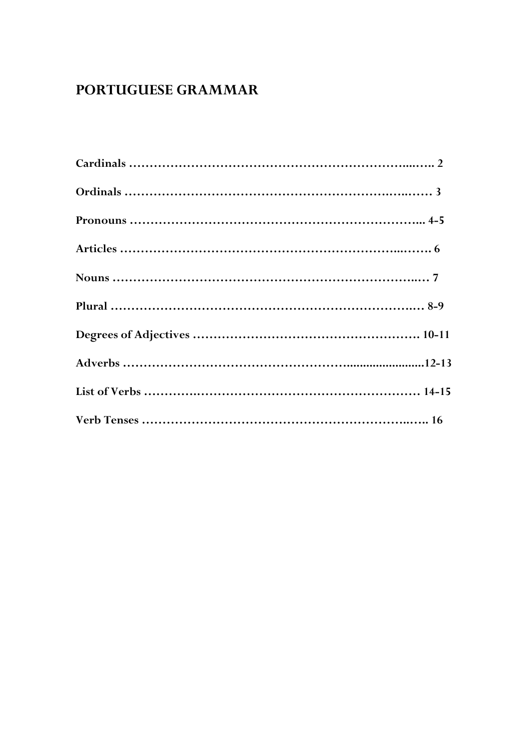# **PORTUGUESE GRAMMAR**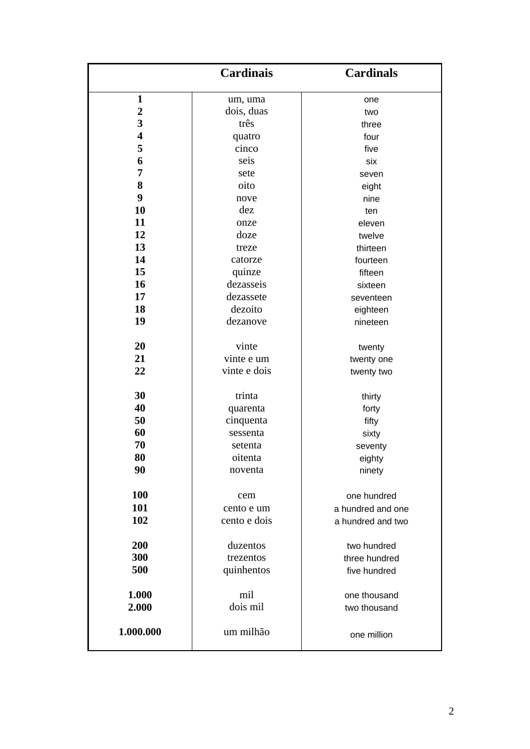| $\mathbf{1}$<br>um, uma<br>one<br>$\boldsymbol{2}$<br>dois, duas<br>two<br>3<br>três<br>three<br>$\overline{\mathbf{4}}$<br>quatro<br>four<br>5<br>cinco<br>five<br>6<br>seis<br>six<br>7<br>sete<br>seven<br>8<br>oito<br>eight<br>9<br>nove<br>nine<br>10<br>dez<br>ten<br>11<br>eleven<br>onze<br>12<br>doze<br>twelve<br>13<br>thirteen<br>treze<br>14<br>catorze<br>fourteen<br>15<br>quinze<br>fifteen<br>16<br>dezasseis<br>sixteen<br>17<br>dezassete<br>seventeen<br>18<br>dezoito<br>eighteen<br>19<br>dezanove<br>nineteen<br>20<br>vinte<br>twenty<br>21<br>vinte e um<br>twenty one<br>22<br>vinte e dois<br>twenty two<br>30<br>trinta<br>thirty<br>40<br>quarenta<br>forty<br>50<br>cinquenta<br>fifty<br>60<br>sessenta<br>sixty<br>70<br>setenta<br>seventy<br>80<br>oitenta<br>eighty<br>90<br>noventa<br>ninety<br><b>100</b><br>one hundred<br>cem<br>101<br>cento e um<br>a hundred and one<br>102<br>cento e dois<br>a hundred and two<br>200<br>duzentos<br>two hundred<br>300<br>trezentos<br>three hundred<br>500<br>quinhentos<br>five hundred<br>1.000<br>mil<br>one thousand<br>dois mil<br>2.000<br>two thousand<br>1.000.000<br>um milhão | <b>Cardinais</b> | <b>Cardinals</b> |
|-------------------------------------------------------------------------------------------------------------------------------------------------------------------------------------------------------------------------------------------------------------------------------------------------------------------------------------------------------------------------------------------------------------------------------------------------------------------------------------------------------------------------------------------------------------------------------------------------------------------------------------------------------------------------------------------------------------------------------------------------------------------------------------------------------------------------------------------------------------------------------------------------------------------------------------------------------------------------------------------------------------------------------------------------------------------------------------------------------------------------------------------------------------------------|------------------|------------------|
|                                                                                                                                                                                                                                                                                                                                                                                                                                                                                                                                                                                                                                                                                                                                                                                                                                                                                                                                                                                                                                                                                                                                                                         |                  |                  |
|                                                                                                                                                                                                                                                                                                                                                                                                                                                                                                                                                                                                                                                                                                                                                                                                                                                                                                                                                                                                                                                                                                                                                                         |                  |                  |
|                                                                                                                                                                                                                                                                                                                                                                                                                                                                                                                                                                                                                                                                                                                                                                                                                                                                                                                                                                                                                                                                                                                                                                         |                  |                  |
|                                                                                                                                                                                                                                                                                                                                                                                                                                                                                                                                                                                                                                                                                                                                                                                                                                                                                                                                                                                                                                                                                                                                                                         |                  |                  |
|                                                                                                                                                                                                                                                                                                                                                                                                                                                                                                                                                                                                                                                                                                                                                                                                                                                                                                                                                                                                                                                                                                                                                                         |                  |                  |
|                                                                                                                                                                                                                                                                                                                                                                                                                                                                                                                                                                                                                                                                                                                                                                                                                                                                                                                                                                                                                                                                                                                                                                         |                  |                  |
|                                                                                                                                                                                                                                                                                                                                                                                                                                                                                                                                                                                                                                                                                                                                                                                                                                                                                                                                                                                                                                                                                                                                                                         |                  |                  |
|                                                                                                                                                                                                                                                                                                                                                                                                                                                                                                                                                                                                                                                                                                                                                                                                                                                                                                                                                                                                                                                                                                                                                                         |                  |                  |
|                                                                                                                                                                                                                                                                                                                                                                                                                                                                                                                                                                                                                                                                                                                                                                                                                                                                                                                                                                                                                                                                                                                                                                         |                  |                  |
|                                                                                                                                                                                                                                                                                                                                                                                                                                                                                                                                                                                                                                                                                                                                                                                                                                                                                                                                                                                                                                                                                                                                                                         |                  |                  |
|                                                                                                                                                                                                                                                                                                                                                                                                                                                                                                                                                                                                                                                                                                                                                                                                                                                                                                                                                                                                                                                                                                                                                                         |                  |                  |
|                                                                                                                                                                                                                                                                                                                                                                                                                                                                                                                                                                                                                                                                                                                                                                                                                                                                                                                                                                                                                                                                                                                                                                         |                  |                  |
|                                                                                                                                                                                                                                                                                                                                                                                                                                                                                                                                                                                                                                                                                                                                                                                                                                                                                                                                                                                                                                                                                                                                                                         |                  |                  |
|                                                                                                                                                                                                                                                                                                                                                                                                                                                                                                                                                                                                                                                                                                                                                                                                                                                                                                                                                                                                                                                                                                                                                                         |                  |                  |
|                                                                                                                                                                                                                                                                                                                                                                                                                                                                                                                                                                                                                                                                                                                                                                                                                                                                                                                                                                                                                                                                                                                                                                         |                  |                  |
|                                                                                                                                                                                                                                                                                                                                                                                                                                                                                                                                                                                                                                                                                                                                                                                                                                                                                                                                                                                                                                                                                                                                                                         |                  |                  |
|                                                                                                                                                                                                                                                                                                                                                                                                                                                                                                                                                                                                                                                                                                                                                                                                                                                                                                                                                                                                                                                                                                                                                                         |                  |                  |
|                                                                                                                                                                                                                                                                                                                                                                                                                                                                                                                                                                                                                                                                                                                                                                                                                                                                                                                                                                                                                                                                                                                                                                         |                  |                  |
|                                                                                                                                                                                                                                                                                                                                                                                                                                                                                                                                                                                                                                                                                                                                                                                                                                                                                                                                                                                                                                                                                                                                                                         |                  |                  |
|                                                                                                                                                                                                                                                                                                                                                                                                                                                                                                                                                                                                                                                                                                                                                                                                                                                                                                                                                                                                                                                                                                                                                                         |                  |                  |
|                                                                                                                                                                                                                                                                                                                                                                                                                                                                                                                                                                                                                                                                                                                                                                                                                                                                                                                                                                                                                                                                                                                                                                         |                  |                  |
|                                                                                                                                                                                                                                                                                                                                                                                                                                                                                                                                                                                                                                                                                                                                                                                                                                                                                                                                                                                                                                                                                                                                                                         |                  |                  |
|                                                                                                                                                                                                                                                                                                                                                                                                                                                                                                                                                                                                                                                                                                                                                                                                                                                                                                                                                                                                                                                                                                                                                                         |                  |                  |
|                                                                                                                                                                                                                                                                                                                                                                                                                                                                                                                                                                                                                                                                                                                                                                                                                                                                                                                                                                                                                                                                                                                                                                         |                  |                  |
|                                                                                                                                                                                                                                                                                                                                                                                                                                                                                                                                                                                                                                                                                                                                                                                                                                                                                                                                                                                                                                                                                                                                                                         |                  |                  |
|                                                                                                                                                                                                                                                                                                                                                                                                                                                                                                                                                                                                                                                                                                                                                                                                                                                                                                                                                                                                                                                                                                                                                                         |                  |                  |
|                                                                                                                                                                                                                                                                                                                                                                                                                                                                                                                                                                                                                                                                                                                                                                                                                                                                                                                                                                                                                                                                                                                                                                         |                  |                  |
|                                                                                                                                                                                                                                                                                                                                                                                                                                                                                                                                                                                                                                                                                                                                                                                                                                                                                                                                                                                                                                                                                                                                                                         |                  |                  |
|                                                                                                                                                                                                                                                                                                                                                                                                                                                                                                                                                                                                                                                                                                                                                                                                                                                                                                                                                                                                                                                                                                                                                                         |                  |                  |
|                                                                                                                                                                                                                                                                                                                                                                                                                                                                                                                                                                                                                                                                                                                                                                                                                                                                                                                                                                                                                                                                                                                                                                         |                  |                  |
|                                                                                                                                                                                                                                                                                                                                                                                                                                                                                                                                                                                                                                                                                                                                                                                                                                                                                                                                                                                                                                                                                                                                                                         |                  |                  |
|                                                                                                                                                                                                                                                                                                                                                                                                                                                                                                                                                                                                                                                                                                                                                                                                                                                                                                                                                                                                                                                                                                                                                                         |                  |                  |
|                                                                                                                                                                                                                                                                                                                                                                                                                                                                                                                                                                                                                                                                                                                                                                                                                                                                                                                                                                                                                                                                                                                                                                         |                  |                  |
|                                                                                                                                                                                                                                                                                                                                                                                                                                                                                                                                                                                                                                                                                                                                                                                                                                                                                                                                                                                                                                                                                                                                                                         |                  |                  |
|                                                                                                                                                                                                                                                                                                                                                                                                                                                                                                                                                                                                                                                                                                                                                                                                                                                                                                                                                                                                                                                                                                                                                                         |                  |                  |
|                                                                                                                                                                                                                                                                                                                                                                                                                                                                                                                                                                                                                                                                                                                                                                                                                                                                                                                                                                                                                                                                                                                                                                         |                  |                  |
|                                                                                                                                                                                                                                                                                                                                                                                                                                                                                                                                                                                                                                                                                                                                                                                                                                                                                                                                                                                                                                                                                                                                                                         |                  |                  |
|                                                                                                                                                                                                                                                                                                                                                                                                                                                                                                                                                                                                                                                                                                                                                                                                                                                                                                                                                                                                                                                                                                                                                                         |                  | one million      |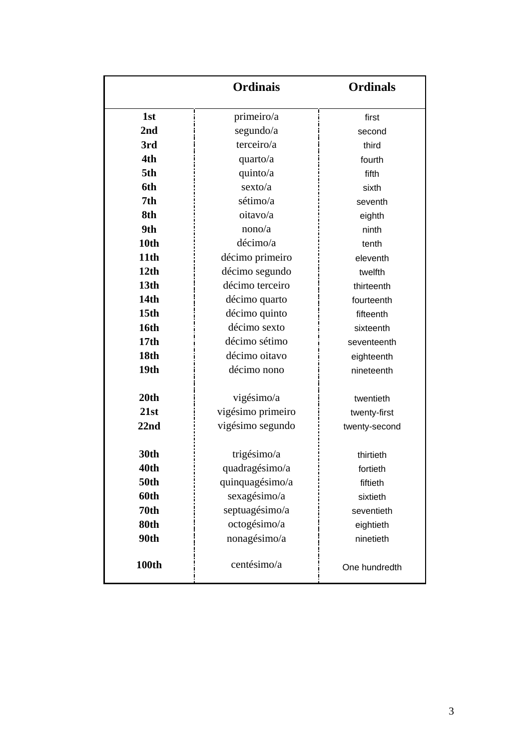|                  | <b>Ordinais</b>   | <b>Ordinals</b> |
|------------------|-------------------|-----------------|
| 1st              | primeiro/a        | first           |
| 2 <sub>nd</sub>  | segundo/a         | second          |
| 3rd              | terceiro/a        | third           |
| 4th              | quarto/a          | fourth          |
| 5th              | quinto/a          | fifth           |
| 6th              | sexto/a           | sixth           |
| 7th              | sétimo/a          | seventh         |
| 8th              | oitavo/a          | eighth          |
| 9th              | nono/a            | ninth           |
| 10th             | décimo/a          | tenth           |
| 11th             | décimo primeiro   | eleventh        |
| 12 <sub>th</sub> | décimo segundo    | twelfth         |
| 13 <sub>th</sub> | décimo terceiro   | thirteenth      |
| <b>14th</b>      | décimo quarto     | fourteenth      |
| 15th             | décimo quinto     | fifteenth       |
| <b>16th</b>      | décimo sexto      | sixteenth       |
| 17 <sub>th</sub> | décimo sétimo     | seventeenth     |
| 18th             | décimo oitavo     | eighteenth      |
| 19th             | décimo nono       | nineteenth      |
| 20th             | vigésimo/a        | twentieth       |
| 21st             | vigésimo primeiro | twenty-first    |
| 22 <sub>nd</sub> | vigésimo segundo  | twenty-second   |
| 30th             | trigésimo/a       | thirtieth       |
| 40th             | quadragésimo/a    | fortieth        |
| <b>50th</b>      | quinquagésimo/a   | fiftieth        |
| 60th             | sexagésimo/a      | sixtieth        |
| 70 <sub>th</sub> | septuagésimo/a    | seventieth      |
| 80th             | octogésimo/a      | eightieth       |
| 90th             | nonagésimo/a      | ninetieth       |
| <b>100th</b>     | centésimo/a       | One hundredth   |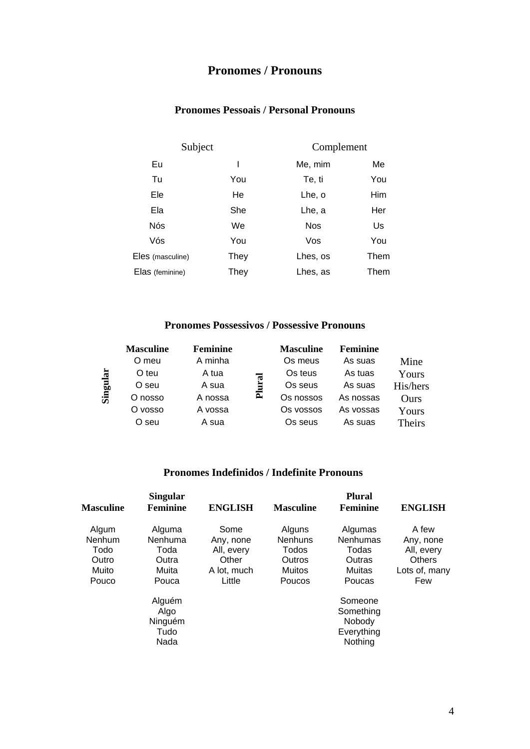## **Pronomes / Pronouns**

## **Pronomes Pessoais / Personal Pronouns**

| Subject          |      | Complement |      |
|------------------|------|------------|------|
| Eu               |      | Me, mim    | Me   |
| Tu               | You  | Te, ti     | You  |
| Ele              | He   | Lhe, o     | Him  |
| Ela              | She  | Lhe, a     | Her  |
| Nós              | We   | <b>Nos</b> | Us   |
| Vós              | You  | Vos        | You  |
| Eles (masculine) | They | Lhes, os   | Them |
| Elas (feminine)  | They | Lhes, as   | Them |

### **Pronomes Possessivos / Possessive Pronouns**

|      | <b>Masculine</b> | <b>Feminine</b> |   | <b>Masculine</b> | <b>Feminine</b> |          |
|------|------------------|-----------------|---|------------------|-----------------|----------|
|      | O meu            | A minha         |   | Os meus          | As suas         | Mine     |
| ä    | O teu            | A tua           | त | Os teus          | As tuas         | Yours    |
|      | O seu            | A sua           |   | Os seus          | As suas         | His/hers |
| Sing | O nosso          | A nossa         | Ē | Os nossos        | As nossas       | Ours     |
|      | O vosso          | A vossa         |   | Os vossos        | As vossas       | Yours    |
|      | O seu            | A sua           |   | Os seus          | As suas         | Theirs   |

### **Pronomes Indefinidos / Indefinite Pronouns**

| <b>Masculine</b>                                   | <b>Singular</b><br><b>Feminine</b>                   | <b>ENGLISH</b>                                                    | <b>Masculine</b>                                                | <b>Plural</b><br>Feminine                                         | <b>ENGLISH</b>                                                            |
|----------------------------------------------------|------------------------------------------------------|-------------------------------------------------------------------|-----------------------------------------------------------------|-------------------------------------------------------------------|---------------------------------------------------------------------------|
| Algum<br>Nenhum<br>Todo<br>Outro<br>Muito<br>Pouco | Alguma<br>Nenhuma<br>Toda<br>Outra<br>Muita<br>Pouca | Some<br>Any, none<br>All, every<br>Other<br>A lot, much<br>Little | Alguns<br><b>Nenhuns</b><br>Todos<br>Outros<br>Muitos<br>Poucos | Algumas<br><b>Nenhumas</b><br>Todas<br>Outras<br>Muitas<br>Poucas | A few<br>Any, none<br>All, every<br><b>Others</b><br>Lots of, many<br>Few |
|                                                    | Alguém<br>Algo<br>Ninguém<br>Tudo<br>Nada            |                                                                   |                                                                 | Someone<br>Something<br>Nobody<br>Everything<br>Nothing           |                                                                           |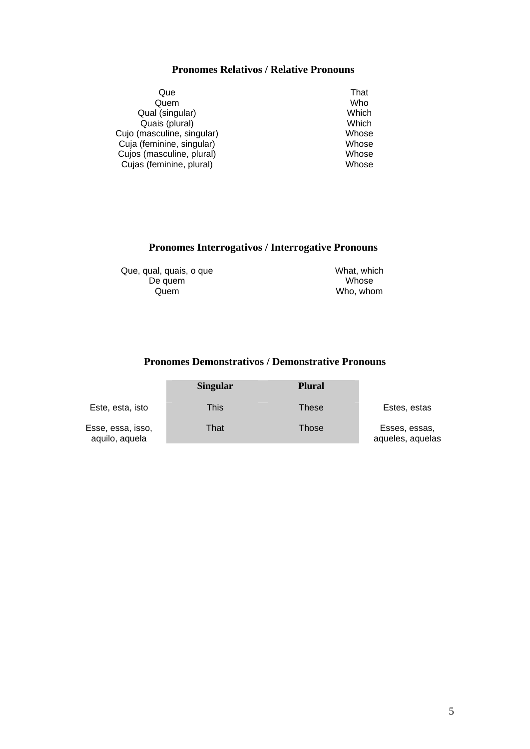### **Pronomes Relativos / Relative Pronouns**

| Que                        | That  |
|----------------------------|-------|
| Quem                       | Who   |
| Qual (singular)            | Which |
| Quais (plural)             | Which |
| Cujo (masculine, singular) | Whose |
| Cuja (feminine, singular)  | Whose |
| Cujos (masculine, plural)  | Whose |
| Cujas (feminine, plural)   | Whose |

### **Pronomes Interrogativos / Interrogative Pronouns**

Que, qual, quais, o que De quem Quem

What, which Whose Who, whom

## **Pronomes Demonstrativos / Demonstrative Pronouns**

|                                     | <b>Singular</b> | <b>Plural</b> |                                   |
|-------------------------------------|-----------------|---------------|-----------------------------------|
| Este, esta, isto                    | This            | These         | Estes, estas                      |
| Esse, essa, isso,<br>aquilo, aquela | That            | Those         | Esses, essas,<br>aqueles, aquelas |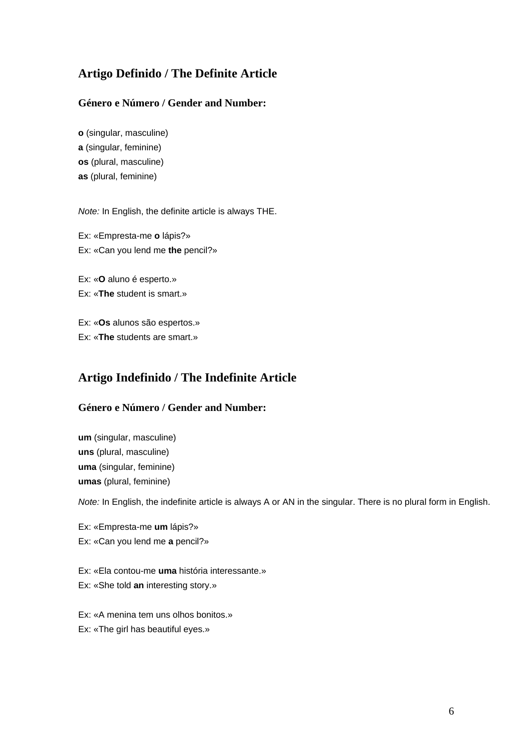## **Artigo Definido / The Definite Article**

### **Género e Número / Gender and Number:**

**o** (singular, masculine) **a** (singular, feminine) **os** (plural, masculine) **as** (plural, feminine)

*Note:* In English, the definite article is always THE.

Ex: «Empresta-me **o** lápis?» Ex: «Can you lend me **the** pencil?»

Ex: «**O** aluno é esperto.»

Ex: «**The** student is smart.»

Ex: «**Os** alunos são espertos.» Ex: «**The** students are smart.»

## **Artigo Indefinido / The Indefinite Article**

### **Género e Número / Gender and Number:**

**um** (singular, masculine) **uns** (plural, masculine) **uma** (singular, feminine) **umas** (plural, feminine)

*Note:* In English, the indefinite article is always A or AN in the singular. There is no plural form in English.

Ex: «Empresta-me **um** lápis?» Ex: «Can you lend me **a** pencil?»

Ex: «Ela contou-me **uma** história interessante.» Ex: «She told **an** interesting story.»

Ex: «A menina tem uns olhos bonitos.»

Ex: «The girl has beautiful eyes.»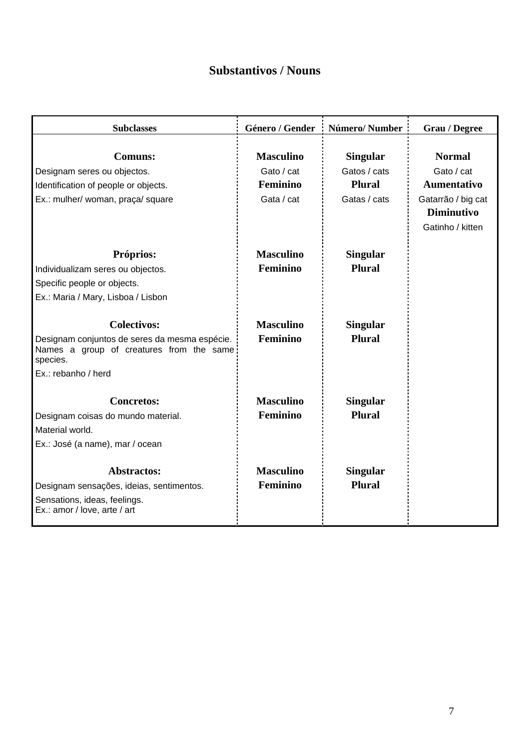## **Substantivos / Nouns**

| <b>Subclasses</b>                                                                                     | Género / Gender  | Número/Number   | <b>Grau</b> / Degree |
|-------------------------------------------------------------------------------------------------------|------------------|-----------------|----------------------|
|                                                                                                       |                  |                 |                      |
| <b>Comuns:</b>                                                                                        | <b>Masculino</b> | <b>Singular</b> | <b>Normal</b>        |
| Designam seres ou objectos.                                                                           | Gato / cat       | Gatos / cats    | Gato / cat           |
| Identification of people or objects.                                                                  | Feminino         | <b>Plural</b>   | <b>Aumentativo</b>   |
| Ex.: mulher/ woman, praça/ square                                                                     | Gata / cat       | Gatas / cats    | Gatarrão / big cat   |
|                                                                                                       |                  |                 | <b>Diminutivo</b>    |
|                                                                                                       |                  |                 | Gatinho / kitten     |
| Próprios:                                                                                             | <b>Masculino</b> | <b>Singular</b> |                      |
| Individualizam seres ou objectos.                                                                     | Feminino         | <b>Plural</b>   |                      |
| Specific people or objects.                                                                           |                  |                 |                      |
| Ex.: Maria / Mary, Lisboa / Lisbon                                                                    |                  |                 |                      |
|                                                                                                       |                  |                 |                      |
| <b>Colectivos:</b>                                                                                    | <b>Masculino</b> | <b>Singular</b> |                      |
| Designam conjuntos de seres da mesma espécie.<br>Names a group of creatures from the same<br>species. | Feminino         | <b>Plural</b>   |                      |
| Ex.: rebanho / herd                                                                                   |                  |                 |                      |
| <b>Concretos:</b>                                                                                     | <b>Masculino</b> | <b>Singular</b> |                      |
| Designam coisas do mundo material.                                                                    | Feminino         | <b>Plural</b>   |                      |
| Material world.                                                                                       |                  |                 |                      |
| Ex.: José (a name), mar / ocean                                                                       |                  |                 |                      |
|                                                                                                       |                  |                 |                      |
| <b>Abstractos:</b>                                                                                    | <b>Masculino</b> | <b>Singular</b> |                      |
| Designam sensações, ideias, sentimentos.                                                              | Feminino         | <b>Plural</b>   |                      |
| Sensations, ideas, feelings.<br>Ex.: amor / love, arte / art                                          |                  |                 |                      |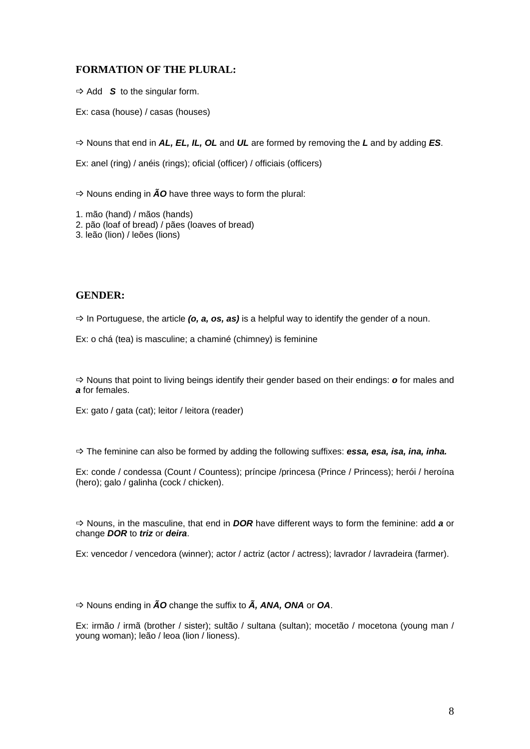### **FORMATION OF THE PLURAL:**

 $\Rightarrow$  Add **S** to the singular form.

Ex: casa (house) / casas (houses)

B Nouns that end in *AL, EL, IL, OL* and *UL* are formed by removing the *L* and by adding *ES*.

Ex: anel (ring) / anéis (rings); oficial (officer) / officiais (officers)

 $\Rightarrow$  Nouns ending in  $\tilde{A}O$  have three ways to form the plural:

1. mão (hand) / mãos (hands)

2. pão (loaf of bread) / pães (loaves of bread)

3. leão (lion) / leões (lions)

#### **GENDER:**

 $\Rightarrow$  In Portuguese, the article (o, a, os, as) is a helpful way to identify the gender of a noun.

Ex: o chá (tea) is masculine; a chaminé (chimney) is feminine

B Nouns that point to living beings identify their gender based on their endings: *o* for males and *a* for females.

Ex: gato / gata (cat); leitor / leitora (reader)

B The feminine can also be formed by adding the following suffixes: *essa, esa, isa, ina, inha.*

Ex: conde / condessa (Count / Countess); príncipe /princesa (Prince / Princess); herói / heroína (hero); galo / galinha (cock / chicken).

B Nouns, in the masculine, that end in *DOR* have different ways to form the feminine: add *a* or change *DOR* to *triz* or *deira*.

Ex: vencedor / vencedora (winner); actor / actriz (actor / actress); lavrador / lavradeira (farmer).

B Nouns ending in *ÃO* change the suffix to *Ã, ANA, ONA* or *OA*.

Ex: irmão / irmã (brother / sister); sultão / sultana (sultan); mocetão / mocetona (young man / young woman); leão / leoa (lion / lioness).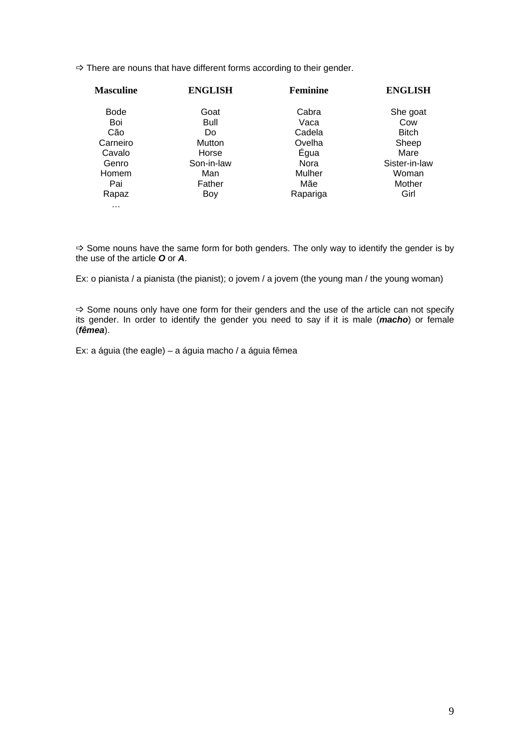$\Rightarrow$  There are nouns that have different forms according to their gender.

| <b>Masculine</b> | <b>ENGLISH</b> | Feminine    | <b>ENGLISH</b> |
|------------------|----------------|-------------|----------------|
| <b>Bode</b>      | Goat           | Cabra       | She goat       |
| Boi              | Bull           | Vaca        | Cow            |
| Cão              | Do             | Cadela      | <b>Bitch</b>   |
| Carneiro         | Mutton         | Ovelha      | Sheep          |
| Cavalo           | Horse          | Égua        | Mare           |
| Genro            | Son-in-law     | <b>Nora</b> | Sister-in-law  |
| Homem            | Man            | Mulher      | Woman          |
| Pai              | Father         | Mãe         | Mother         |
| Rapaz            | Boy            | Rapariga    | Girl           |
| $\cdots$         |                |             |                |

 $\Rightarrow$  Some nouns have the same form for both genders. The only way to identify the gender is by the use of the article *O* or *A*.

Ex: o pianista / a pianista (the pianist); o jovem / a jovem (the young man / the young woman)

 $\Rightarrow$  Some nouns only have one form for their genders and the use of the article can not specify its gender. In order to identify the gender you need to say if it is male (*macho*) or female (*fêmea*).

Ex: a águia (the eagle) – a águia macho / a águia fêmea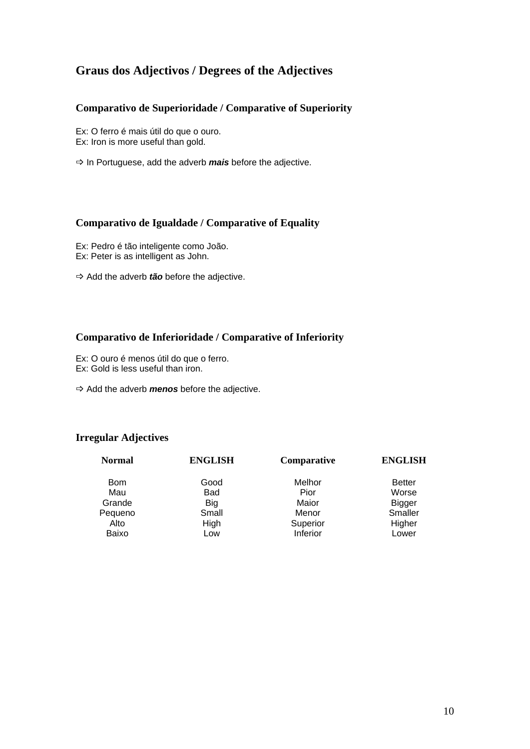## **Graus dos Adjectivos / Degrees of the Adjectives**

### **Comparativo de Superioridade / Comparative of Superiority**

Ex: O ferro é mais útil do que o ouro. Ex: Iron is more useful than gold.

 $\Rightarrow$  In Portuguese, add the adverb *mais* before the adjective.

### **Comparativo de Igualdade / Comparative of Equality**

Ex: Pedro é tão inteligente como João. Ex: Peter is as intelligent as John.

 $\Rightarrow$  Add the adverb *tão* before the adjective.

### **Comparativo de Inferioridade / Comparative of Inferiority**

- Ex: O ouro é menos útil do que o ferro.
- Ex: Gold is less useful than iron.
- $\Rightarrow$  Add the adverb *menos* before the adjective.

### **Irregular Adjectives**

| <b>Normal</b> | <b>ENGLISH</b> | Comparative | <b>ENGLISH</b> |
|---------------|----------------|-------------|----------------|
| <b>Bom</b>    | Good           | Melhor      | <b>Better</b>  |
| Mau           | Bad            | Pior        | Worse          |
| Grande        | Big            | Maior       | <b>Bigger</b>  |
| Pequeno       | Small          | Menor       | Smaller        |
| Alto          | High           | Superior    | Higher         |
| Baixo         | Low            | Inferior    | Lower          |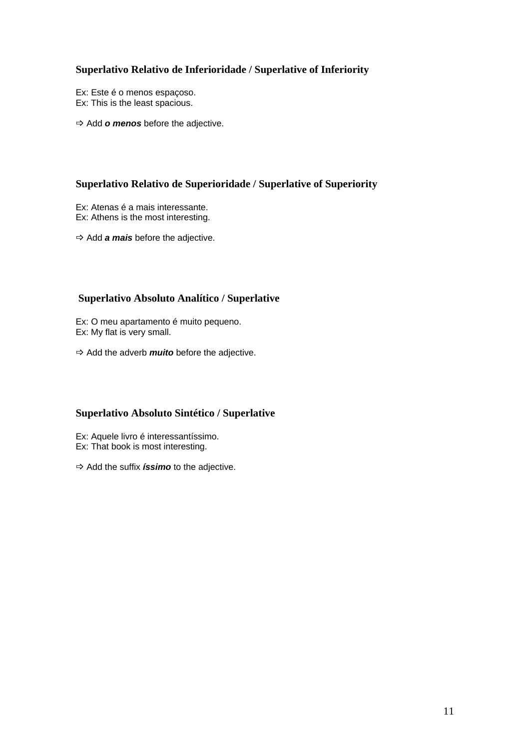### **Superlativo Relativo de Inferioridade / Superlative of Inferiority**

- Ex: Este é o menos espaçoso. Ex: This is the least spacious.
- $\Rightarrow$  Add **o menos** before the adjective.

### **Superlativo Relativo de Superioridade / Superlative of Superiority**

- Ex: Atenas é a mais interessante.
- Ex: Athens is the most interesting.
- $\Rightarrow$  Add *a mais* before the adjective.

### **Superlativo Absoluto Analítico / Superlative**

Ex: O meu apartamento é muito pequeno. Ex: My flat is very small.

 $\Rightarrow$  Add the adverb *muito* before the adjective.

### **Superlativo Absoluto Sintético / Superlative**

- Ex: Aquele livro é interessantíssimo.
- Ex: That book is most interesting.
- $\Rightarrow$  Add the suffix *<i>íssimo* to the adjective.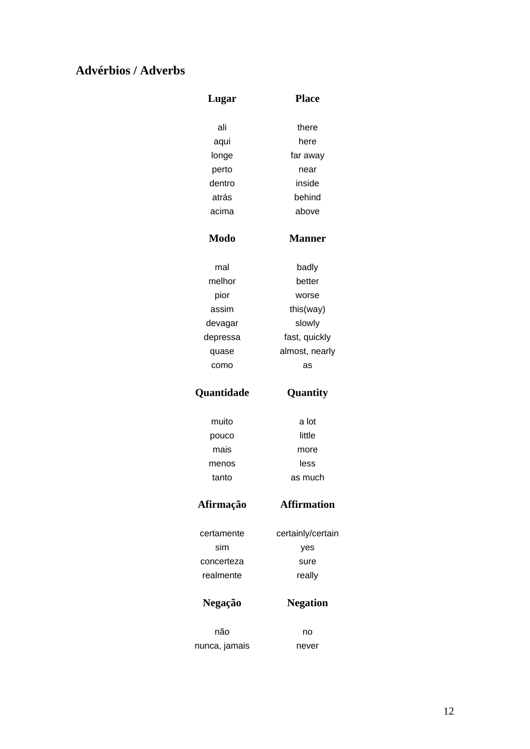## **Advérbios / Adverbs**

| Lugar       | <b>Place</b>       |
|-------------|--------------------|
| ali         | there              |
| aqui        | here               |
| longe       | far away           |
| perto       | near               |
| dentro      | inside             |
| atrás       | behind             |
| acima       | above              |
| <b>Modo</b> | <b>Manner</b>      |
| mal         | badly              |
| melhor      | better             |
| pior        | worse              |
| assim       | this(way)          |
| devagar     | slowly             |
| depressa    | fast, quickly      |
| quase       | almost, nearly     |
| como        | as                 |
| Quantidade  | Quantity           |
| muito       | a lot              |
|             |                    |
| pouco       | little             |
| mais        | more               |
| menos       | less               |
| tanto       | as much            |
| Afirmação   | <b>Affirmation</b> |
| certamente  | certainly/certain  |
| sim         | yes                |
| concerteza  | sure               |
| realmente   | really             |
| Negação     | <b>Negation</b>    |
| não         | no                 |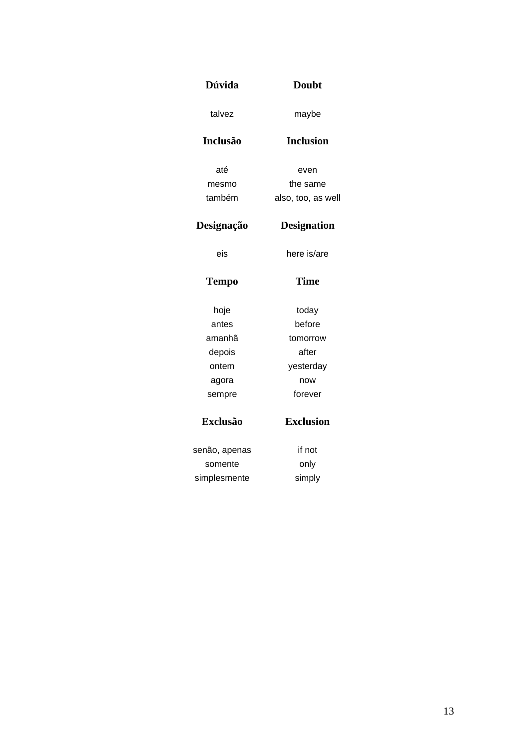| <b>Dúvida</b>   | <b>Doubt</b>       |  |
|-----------------|--------------------|--|
| talvez          | maybe              |  |
| <b>Inclusão</b> | <b>Inclusion</b>   |  |
| até             | even               |  |
| mesmo           | the same           |  |
| também          | also, too, as well |  |
| Designação      | <b>Designation</b> |  |
| eis             | here is/are        |  |
| <b>Tempo</b>    | <b>Time</b>        |  |
| hoje            | today              |  |
| antes           | before             |  |
| amanhã          | tomorrow           |  |
| depois          | after              |  |
| ontem           | yesterday          |  |
| agora           | now                |  |
| sempre          | forever            |  |
| <b>Exclusão</b> | <b>Exclusion</b>   |  |
| senão, apenas   | if not             |  |
| somente         | only               |  |
| simplesmente    | simply             |  |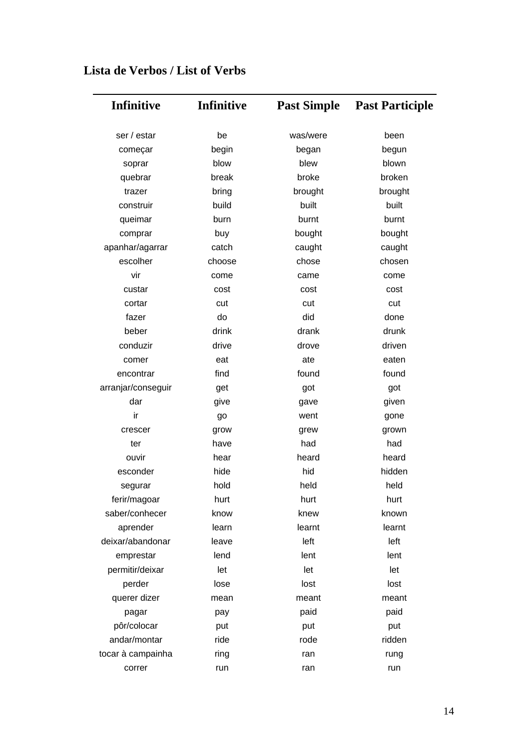| Infinitive         | <b>Infinitive</b> | <b>Past Simple</b> | <b>Past Participle</b> |
|--------------------|-------------------|--------------------|------------------------|
| ser / estar        | be                | was/were           | been                   |
| começar            | begin             | began              | begun                  |
| soprar             | blow              | blew               | blown                  |
| quebrar            | break             | broke              | broken                 |
| trazer             | bring             | brought            | brought                |
| construir          | build             | built              | built                  |
| queimar            | burn              | burnt              | burnt                  |
| comprar            | buy               | bought             | bought                 |
| apanhar/agarrar    | catch             | caught             | caught                 |
| escolher           | choose            | chose              | chosen                 |
| vir                | come              | came               | come                   |
| custar             | cost              | cost               | cost                   |
| cortar             | cut               | cut                | cut                    |
| fazer              | do                | did                | done                   |
| beber              | drink             | drank              | drunk                  |
| conduzir           | drive             | drove              | driven                 |
| comer              | eat               | ate                | eaten                  |
| encontrar          | find              | found              | found                  |
| arranjar/conseguir | get               | got                | got                    |
| dar                | give              | gave               | given                  |
| ir                 | go                | went               | gone                   |
| crescer            | grow              | grew               | grown                  |
| ter                | have              | had                | had                    |
| ouvir              | hear              | heard              | heard                  |
| esconder           | hide              | hid                | hidden                 |
| segurar            | hold              | held               | held                   |
| ferir/magoar       | hurt              | hurt               | hurt                   |
| saber/conhecer     | know              | knew               | known                  |
| aprender           | learn             | learnt             | learnt                 |
| deixar/abandonar   | leave             | left               | left                   |
| emprestar          | lend              | lent               | lent                   |
| permitir/deixar    | let               | let                | let                    |
| perder             | lose              | lost               | lost                   |
| querer dizer       | mean              | meant              | meant                  |
| pagar              | pay               | paid               | paid                   |
| pôr/colocar        | put               | put                | put                    |
| andar/montar       | ride              | rode               | ridden                 |
| tocar à campainha  | ring              | ran                | rung                   |
| correr             | run               | ran                | run                    |

# **Lista de Verbos / List of Verbs**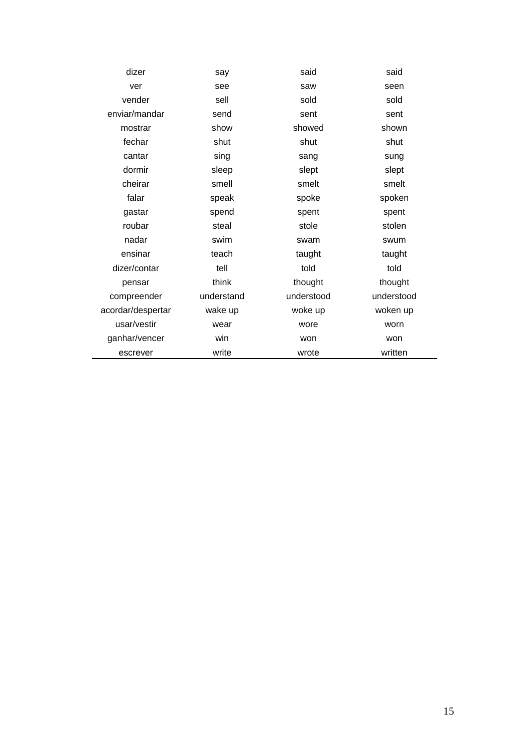| dizer             | say        | said       | said       |
|-------------------|------------|------------|------------|
| ver               | see        | saw        | seen       |
| vender            | sell       | sold       | sold       |
| enviar/mandar     | send       | sent       | sent       |
| mostrar           | show       | showed     | shown      |
| fechar            | shut       | shut       | shut       |
| cantar            | sing       | sang       | sung       |
| dormir            | sleep      | slept      | slept      |
| cheirar           | smell      | smelt      | smelt      |
| falar             | speak      | spoke      | spoken     |
| gastar            | spend      | spent      | spent      |
| roubar            | steal      | stole      | stolen     |
| nadar             | swim       | swam       | swum       |
| ensinar           | teach      | taught     | taught     |
| dizer/contar      | tell       | told       | told       |
| pensar            | think      | thought    | thought    |
| compreender       | understand | understood | understood |
| acordar/despertar | wake up    | woke up    | woken up   |
| usar/vestir       | wear       | wore       | worn       |
| ganhar/vencer     | win        | won        | won        |
| escrever          | write      | wrote      | written    |